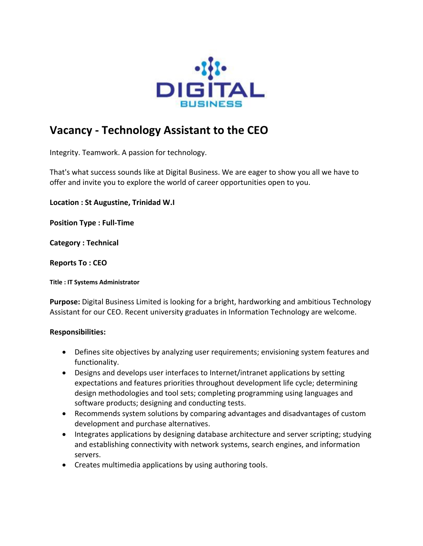

## **Vacancy - Technology Assistant to the CEO**

Integrity. Teamwork. A passion for technology.

That's what success sounds like at Digital Business. We are eager to show you all we have to offer and invite you to explore the world of career opportunities open to you.

**Location : St Augustine, Trinidad W.I**

**Position Type : Full-Time**

**Category : Technical**

## **Reports To : CEO**

**Title : IT Systems Administrator**

**Purpose:** Digital Business Limited is looking for a bright, hardworking and ambitious Technology Assistant for our CEO. Recent university graduates in Information Technology are welcome.

## **Responsibilities:**

- Defines site objectives by analyzing user requirements; envisioning system features and functionality.
- Designs and develops user interfaces to Internet/intranet applications by setting expectations and features priorities throughout development life cycle; determining design methodologies and tool sets; completing programming using languages and software products; designing and conducting tests.
- Recommends system solutions by comparing advantages and disadvantages of custom development and purchase alternatives.
- Integrates applications by designing database architecture and server scripting; studying and establishing connectivity with network systems, search engines, and information servers.
- Creates multimedia applications by using authoring tools.